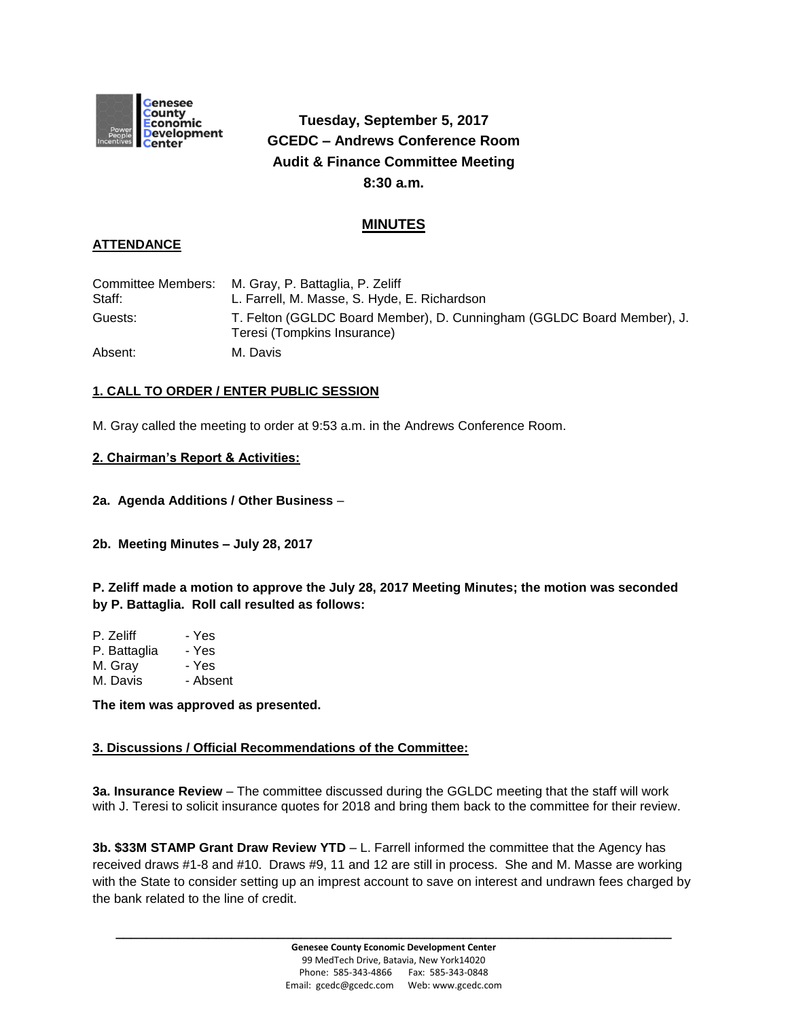

# **Tuesday, September 5, 2017 GCEDC – Andrews Conference Room Audit & Finance Committee Meeting 8:30 a.m.**

## **MINUTES**

## **ATTENDANCE**

|         | Committee Members: M. Gray, P. Battaglia, P. Zeliff                                                   |
|---------|-------------------------------------------------------------------------------------------------------|
| Staff:  | L. Farrell, M. Masse, S. Hyde, E. Richardson                                                          |
| Guests: | T. Felton (GGLDC Board Member), D. Cunningham (GGLDC Board Member), J.<br>Teresi (Tompkins Insurance) |
| Absent: | M. Davis                                                                                              |

## **1. CALL TO ORDER / ENTER PUBLIC SESSION**

M. Gray called the meeting to order at 9:53 a.m. in the Andrews Conference Room.

#### **2. Chairman's Report & Activities:**

#### **2a. Agenda Additions / Other Business** –

#### **2b. Meeting Minutes – July 28, 2017**

**P. Zeliff made a motion to approve the July 28, 2017 Meeting Minutes; the motion was seconded by P. Battaglia. Roll call resulted as follows:**

| P. Zeliff    | - Yes    |
|--------------|----------|
| P. Battaglia | - Yes    |
| M. Gray      | - Yes    |
| M. Davis     | - Absent |

**The item was approved as presented.**

## **3. Discussions / Official Recommendations of the Committee:**

**3a. Insurance Review** – The committee discussed during the GGLDC meeting that the staff will work with J. Teresi to solicit insurance quotes for 2018 and bring them back to the committee for their review.

**3b. \$33M STAMP Grant Draw Review YTD** – L. Farrell informed the committee that the Agency has received draws #1-8 and #10. Draws #9, 11 and 12 are still in process. She and M. Masse are working with the State to consider setting up an imprest account to save on interest and undrawn fees charged by the bank related to the line of credit.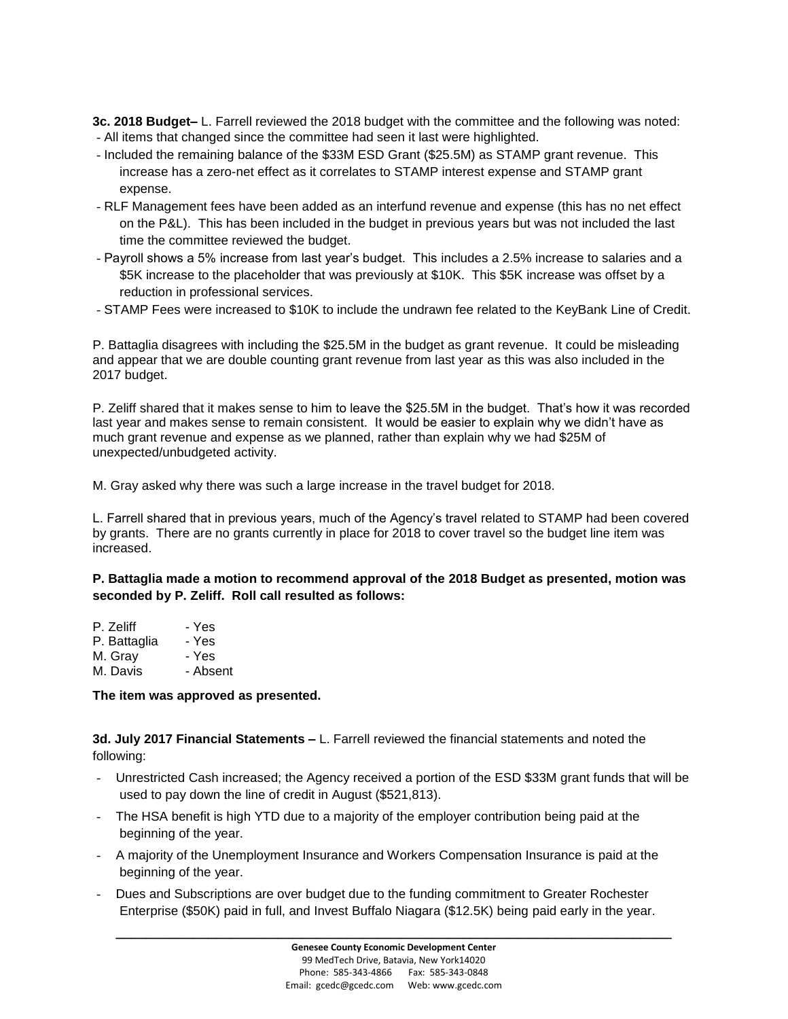**3c. 2018 Budget–** L. Farrell reviewed the 2018 budget with the committee and the following was noted: - All items that changed since the committee had seen it last were highlighted.

- Included the remaining balance of the \$33M ESD Grant (\$25.5M) as STAMP grant revenue. This increase has a zero-net effect as it correlates to STAMP interest expense and STAMP grant expense.
- RLF Management fees have been added as an interfund revenue and expense (this has no net effect on the P&L). This has been included in the budget in previous years but was not included the last time the committee reviewed the budget.
- Payroll shows a 5% increase from last year's budget. This includes a 2.5% increase to salaries and a \$5K increase to the placeholder that was previously at \$10K. This \$5K increase was offset by a reduction in professional services.
- STAMP Fees were increased to \$10K to include the undrawn fee related to the KeyBank Line of Credit.

P. Battaglia disagrees with including the \$25.5M in the budget as grant revenue. It could be misleading and appear that we are double counting grant revenue from last year as this was also included in the 2017 budget.

P. Zeliff shared that it makes sense to him to leave the \$25.5M in the budget. That's how it was recorded last year and makes sense to remain consistent. It would be easier to explain why we didn't have as much grant revenue and expense as we planned, rather than explain why we had \$25M of unexpected/unbudgeted activity.

M. Gray asked why there was such a large increase in the travel budget for 2018.

L. Farrell shared that in previous years, much of the Agency's travel related to STAMP had been covered by grants. There are no grants currently in place for 2018 to cover travel so the budget line item was increased.

**P. Battaglia made a motion to recommend approval of the 2018 Budget as presented, motion was seconded by P. Zeliff. Roll call resulted as follows:**

| P. Zeliff    | - Yes    |
|--------------|----------|
| P. Battaglia | - Yes    |
| M. Gray      | - Yes    |
| M. Davis     | - Absent |
|              |          |

#### **The item was approved as presented.**

**3d. July 2017 Financial Statements –** L. Farrell reviewed the financial statements and noted the following:

- Unrestricted Cash increased; the Agency received a portion of the ESD \$33M grant funds that will be used to pay down the line of credit in August (\$521,813).
- The HSA benefit is high YTD due to a majority of the employer contribution being paid at the beginning of the year.
- A majority of the Unemployment Insurance and Workers Compensation Insurance is paid at the beginning of the year.
- Dues and Subscriptions are over budget due to the funding commitment to Greater Rochester Enterprise (\$50K) paid in full, and Invest Buffalo Niagara (\$12.5K) being paid early in the year.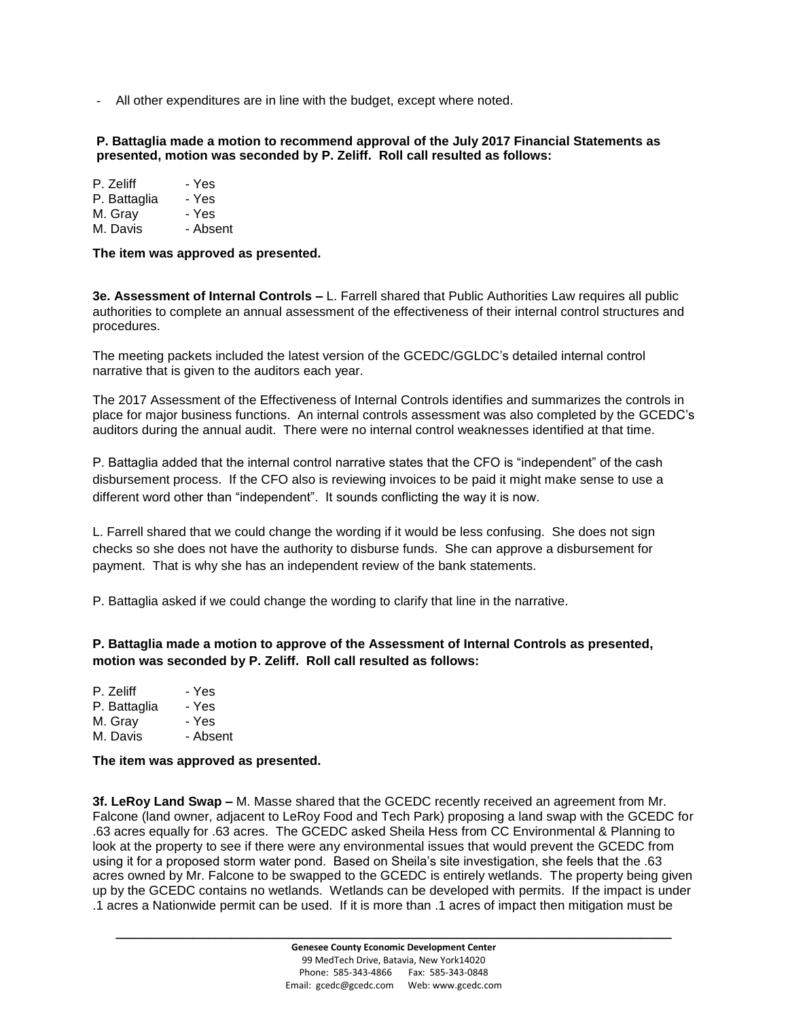- All other expenditures are in line with the budget, except where noted.

#### **P. Battaglia made a motion to recommend approval of the July 2017 Financial Statements as presented, motion was seconded by P. Zeliff. Roll call resulted as follows:**

| P. Zeliff    | - Yes |
|--------------|-------|
| P. Battaglia | - Yes |
| M. Gray      | - Yes |

M. Davis - Absent

**The item was approved as presented.**

**3e. Assessment of Internal Controls –** L. Farrell shared that Public Authorities Law requires all public authorities to complete an annual assessment of the effectiveness of their internal control structures and procedures.

The meeting packets included the latest version of the GCEDC/GGLDC's detailed internal control narrative that is given to the auditors each year.

The 2017 Assessment of the Effectiveness of Internal Controls identifies and summarizes the controls in place for major business functions. An internal controls assessment was also completed by the GCEDC's auditors during the annual audit. There were no internal control weaknesses identified at that time.

P. Battaglia added that the internal control narrative states that the CFO is "independent" of the cash disbursement process. If the CFO also is reviewing invoices to be paid it might make sense to use a different word other than "independent". It sounds conflicting the way it is now.

L. Farrell shared that we could change the wording if it would be less confusing. She does not sign checks so she does not have the authority to disburse funds. She can approve a disbursement for payment. That is why she has an independent review of the bank statements.

P. Battaglia asked if we could change the wording to clarify that line in the narrative.

**P. Battaglia made a motion to approve of the Assessment of Internal Controls as presented, motion was seconded by P. Zeliff. Roll call resulted as follows:**

| P. Zeliff    | - Yes    |
|--------------|----------|
| P. Battaglia | - Yes    |
| M. Gray      | - Yes    |
| M. Davis     | - Absent |

**The item was approved as presented.**

**3f. LeRoy Land Swap –** M. Masse shared that the GCEDC recently received an agreement from Mr. Falcone (land owner, adjacent to LeRoy Food and Tech Park) proposing a land swap with the GCEDC for .63 acres equally for .63 acres. The GCEDC asked Sheila Hess from CC Environmental & Planning to look at the property to see if there were any environmental issues that would prevent the GCEDC from using it for a proposed storm water pond. Based on Sheila's site investigation, she feels that the .63 acres owned by Mr. Falcone to be swapped to the GCEDC is entirely wetlands. The property being given up by the GCEDC contains no wetlands. Wetlands can be developed with permits. If the impact is under .1 acres a Nationwide permit can be used. If it is more than .1 acres of impact then mitigation must be